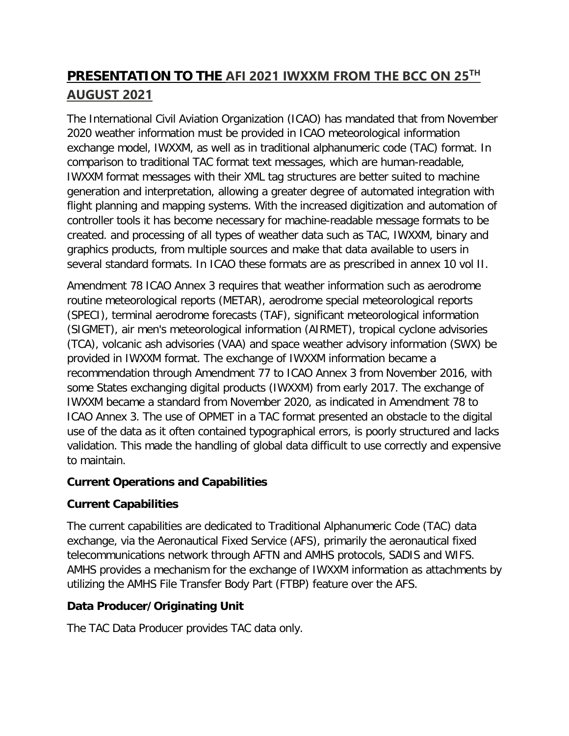# **PRESENTATION TO THE AFI 2021 IWXXM FROM THE BCC ON 25TH AUGUST 2021**

The International Civil Aviation Organization (ICAO) has mandated that from November 2020 weather information must be provided in ICAO meteorological information exchange model, IWXXM, as well as in traditional alphanumeric code (TAC) format. In comparison to traditional TAC format text messages, which are human-readable, IWXXM format messages with their XML tag structures are better suited to machine generation and interpretation, allowing a greater degree of automated integration with flight planning and mapping systems. With the increased digitization and automation of controller tools it has become necessary for machine-readable message formats to be created. and processing of all types of weather data such as TAC, IWXXM, binary and graphics products, from multiple sources and make that data available to users in several standard formats. In ICAO these formats are as prescribed in annex 10 vol II.

Amendment 78 ICAO Annex 3 requires that weather information such as aerodrome routine meteorological reports (METAR), aerodrome special meteorological reports (SPECI), terminal aerodrome forecasts (TAF), significant meteorological information (SIGMET), air men's meteorological information (AIRMET), tropical cyclone advisories (TCA), volcanic ash advisories (VAA) and space weather advisory information (SWX) be provided in IWXXM format. The exchange of IWXXM information became a recommendation through Amendment 77 to ICAO Annex 3 from November 2016, with some States exchanging digital products (IWXXM) from early 2017. The exchange of IWXXM became a standard from November 2020, as indicated in Amendment 78 to ICAO Annex 3. The use of OPMET in a TAC format presented an obstacle to the digital use of the data as it often contained typographical errors, is poorly structured and lacks validation. This made the handling of global data difficult to use correctly and expensive to maintain.

#### **Current Operations and Capabilities**

#### **Current Capabilities**

The current capabilities are dedicated to Traditional Alphanumeric Code (TAC) data exchange, via the Aeronautical Fixed Service (AFS), primarily the aeronautical fixed telecommunications network through AFTN and AMHS protocols, SADIS and WIFS. AMHS provides a mechanism for the exchange of IWXXM information as attachments by utilizing the AMHS File Transfer Body Part (FTBP) feature over the AFS.

#### **Data Producer/Originating Unit**

The TAC Data Producer provides TAC data only.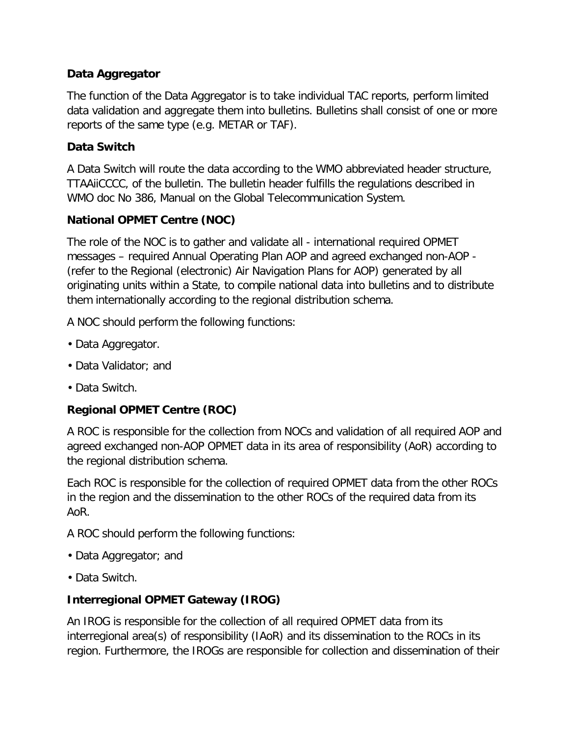#### **Data Aggregator**

The function of the Data Aggregator is to take individual TAC reports, perform limited data validation and aggregate them into bulletins. Bulletins shall consist of one or more reports of the same type (e.g. METAR or TAF).

#### **Data Switch**

A Data Switch will route the data according to the WMO abbreviated header structure, TTAAiiCCCC, of the bulletin. The bulletin header fulfills the regulations described in WMO doc No 386, Manual on the Global Telecommunication System.

#### **National OPMET Centre (NOC)**

The role of the NOC is to gather and validate all - international required OPMET messages – required Annual Operating Plan AOP and agreed exchanged non-AOP - (refer to the Regional (electronic) Air Navigation Plans for AOP) generated by all originating units within a State, to compile national data into bulletins and to distribute them internationally according to the regional distribution schema.

A NOC should perform the following functions:

- Data Aggregator.
- Data Validator; and
- Data Switch.

#### **Regional OPMET Centre (ROC)**

A ROC is responsible for the collection from NOCs and validation of all required AOP and agreed exchanged non-AOP OPMET data in its area of responsibility (AoR) according to the regional distribution schema.

Each ROC is responsible for the collection of required OPMET data from the other ROCs in the region and the dissemination to the other ROCs of the required data from its AoR.

A ROC should perform the following functions:

- Data Aggregator; and
- Data Switch.

#### **Interregional OPMET Gateway (IROG)**

An IROG is responsible for the collection of all required OPMET data from its interregional area(s) of responsibility (IAoR) and its dissemination to the ROCs in its region. Furthermore, the IROGs are responsible for collection and dissemination of their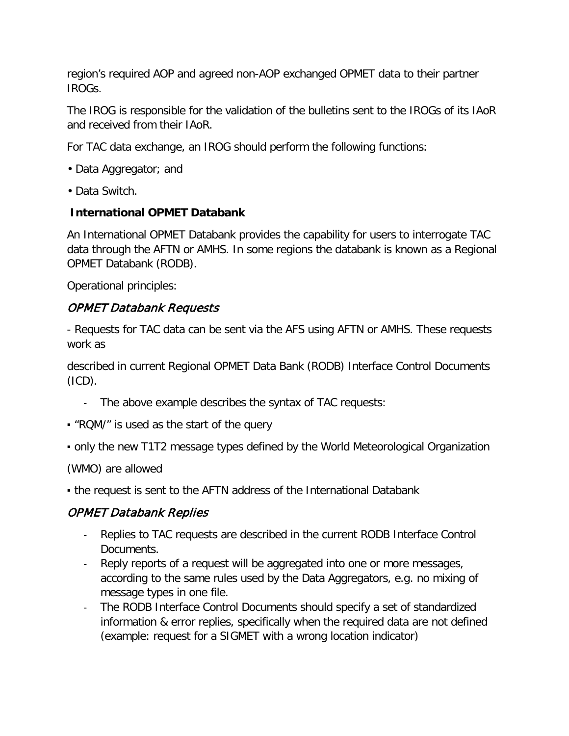region's required AOP and agreed non-AOP exchanged OPMET data to their partner IROGs.

The IROG is responsible for the validation of the bulletins sent to the IROGs of its IAoR and received from their IAoR.

For TAC data exchange, an IROG should perform the following functions:

- Data Aggregator; and
- Data Switch.

#### **International OPMET Databank**

An International OPMET Databank provides the capability for users to interrogate TAC data through the AFTN or AMHS. In some regions the databank is known as a Regional OPMET Databank (RODB).

Operational principles:

#### OPMET Databank Requests

- Requests for TAC data can be sent via the AFS using AFTN or AMHS. These requests work as

described in current Regional OPMET Data Bank (RODB) Interface Control Documents (ICD).

- The above example describes the syntax of TAC requests:
- "RQM/" is used as the start of the query
- only the new T1T2 message types defined by the World Meteorological Organization

(WMO) are allowed

• the request is sent to the AFTN address of the International Databank

### OPMET Databank Replies

- Replies to TAC requests are described in the current RODB Interface Control Documents.
- Reply reports of a request will be aggregated into one or more messages, according to the same rules used by the Data Aggregators, e.g. no mixing of message types in one file.
- The RODB Interface Control Documents should specify a set of standardized information & error replies, specifically when the required data are not defined (example: request for a SIGMET with a wrong location indicator)